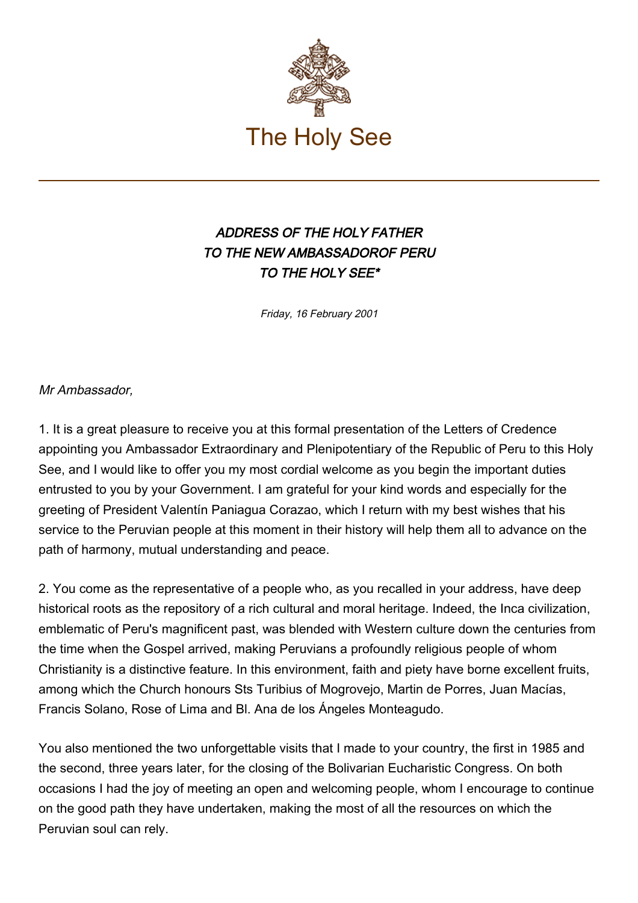

## ADDRESS OF THE HOLY FATHER TO THE NEW AMBASSADOROF PERU TO THE HOLY SEE\*

Friday, 16 February 2001

Mr Ambassador,

1. It is a great pleasure to receive you at this formal presentation of the Letters of Credence appointing you Ambassador Extraordinary and Plenipotentiary of the Republic of Peru to this Holy See, and I would like to offer you my most cordial welcome as you begin the important duties entrusted to you by your Government. I am grateful for your kind words and especially for the greeting of President Valentín Paniagua Corazao, which I return with my best wishes that his service to the Peruvian people at this moment in their history will help them all to advance on the path of harmony, mutual understanding and peace.

2. You come as the representative of a people who, as you recalled in your address, have deep historical roots as the repository of a rich cultural and moral heritage. Indeed, the Inca civilization, emblematic of Peru's magnificent past, was blended with Western culture down the centuries from the time when the Gospel arrived, making Peruvians a profoundly religious people of whom Christianity is a distinctive feature. In this environment, faith and piety have borne excellent fruits, among which the Church honours Sts Turibius of Mogrovejo, Martin de Porres, Juan Macías, Francis Solano, Rose of Lima and Bl. Ana de los Ángeles Monteagudo.

You also mentioned the two unforgettable visits that I made to your country, the first in 1985 and the second, three years later, for the closing of the Bolivarian Eucharistic Congress. On both occasions I had the joy of meeting an open and welcoming people, whom I encourage to continue on the good path they have undertaken, making the most of all the resources on which the Peruvian soul can rely.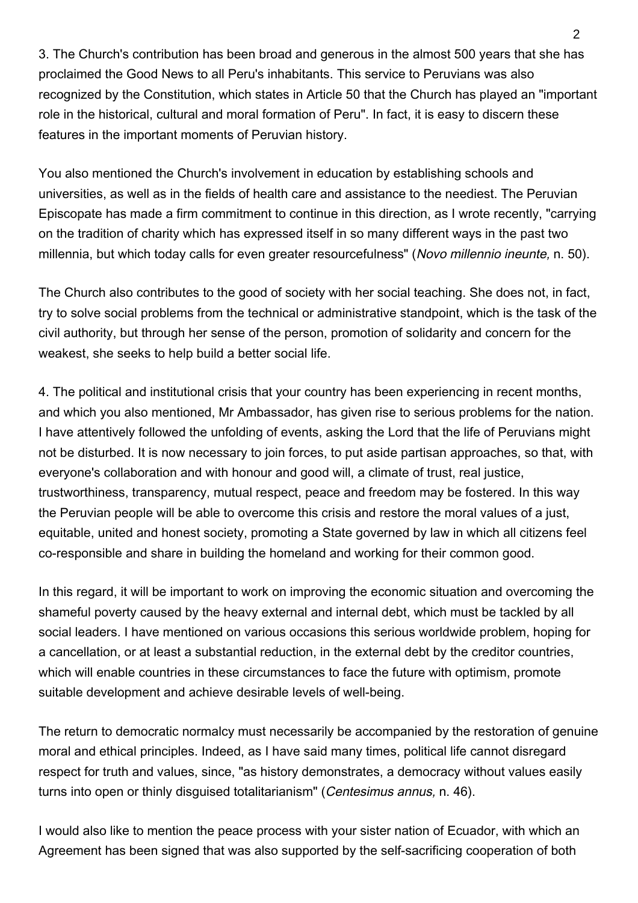3. The Church's contribution has been broad and generous in the almost 500 years that she has proclaimed the Good News to all Peru's inhabitants. This service to Peruvians was also recognized by the Constitution, which states in Article 50 that the Church has played an "important role in the historical, cultural and moral formation of Peru". In fact, it is easy to discern these features in the important moments of Peruvian history.

You also mentioned the Church's involvement in education by establishing schools and universities, as well as in the fields of health care and assistance to the neediest. The Peruvian Episcopate has made a firm commitment to continue in this direction, as I wrote recently, "carrying on the tradition of charity which has expressed itself in so many different ways in the past two millennia, but which today calls for even greater resourcefulness" (Novo millennio ineunte, n. 50).

The Church also contributes to the good of society with her social teaching. She does not, in fact, try to solve social problems from the technical or administrative standpoint, which is the task of the civil authority, but through her sense of the person, promotion of solidarity and concern for the weakest, she seeks to help build a better social life.

4. The political and institutional crisis that your country has been experiencing in recent months, and which you also mentioned, Mr Ambassador, has given rise to serious problems for the nation. I have attentively followed the unfolding of events, asking the Lord that the life of Peruvians might not be disturbed. It is now necessary to join forces, to put aside partisan approaches, so that, with everyone's collaboration and with honour and good will, a climate of trust, real justice, trustworthiness, transparency, mutual respect, peace and freedom may be fostered. In this way the Peruvian people will be able to overcome this crisis and restore the moral values of a just, equitable, united and honest society, promoting a State governed by law in which all citizens feel co-responsible and share in building the homeland and working for their common good.

In this regard, it will be important to work on improving the economic situation and overcoming the shameful poverty caused by the heavy external and internal debt, which must be tackled by all social leaders. I have mentioned on various occasions this serious worldwide problem, hoping for a cancellation, or at least a substantial reduction, in the external debt by the creditor countries, which will enable countries in these circumstances to face the future with optimism, promote suitable development and achieve desirable levels of well-being.

The return to democratic normalcy must necessarily be accompanied by the restoration of genuine moral and ethical principles. Indeed, as I have said many times, political life cannot disregard respect for truth and values, since, "as history demonstrates, a democracy without values easily turns into open or thinly disguised totalitarianism" (Centesimus annus, n. 46).

I would also like to mention the peace process with your sister nation of Ecuador, with which an Agreement has been signed that was also supported by the self-sacrificing cooperation of both